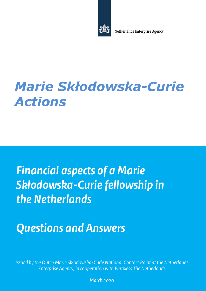

Netherlands Enterprise Agency

# Marie Skłodowska-Curie Actions

# Financial aspects of a Marie Skłodowska-Curie fellowship in the Netherlands

# Questions and Answers

1 Enterprise Agency, in cooperation with Euraxess The Netherlands Issued by the Dutch Marie Skłodowska-Curie National Contact Point at the Netherlands

March 2020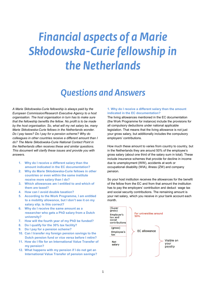# Financial aspects of a Marie Skłodowska-Curie fellowship in the Netherlands

# Questions and Answers

 A Marie Skłodowska-Curie fellowship is always paid by the European Commission/Research Executive Agency to a host organisation. The host organisation in turn has to make sure that the fellowship benefits the fellow. No profit is to be made by the host organisation. So, what will my net salary be, many Marie Skłodowska-Curie fellows in the Netherlands wonder. Do I pay taxes? Do I pay for a pension scheme? Why do colleagues in other countries receive a different amount than I do? The Marie Skłodowska-Curie National Contact Point in the Netherlands often receives these and similar questions. This document will clarify these issues and provide you with answers.

- 1. Why do I receive a different salary than the amount indicated in the EC documentation?
- 2. Why do Marie Skłodowska-Curie fellows in other countries or even within the same institute receive more salary than I do?
- 3. Which allowances am I entitled to and which of them are taxed?
- 4. How can I avoid double taxation?
- 5. According to the Work Programme, I am entitled to a mobility allowance, but I don't see it on my salary slip. Is this correct?
- 6. Why do I receive the same amount as a researcher who gets a PhD salary from a Dutch
- university?<br>7. Now will the fourth year of my PhD be funded?
- 8. Do I qualify for the 30% tax facility?
- 9. Do I pay for a pension scheme?
- 10. Can I transfer my foreign pension savings to the Dutch pension fund or vice versa before I retire?
- 11. How do I file for an International Value Transfer of my pension?
- 12. What happens with my pension if I do not get an International Value Transfer of pension savings?

# 1. Why do I receive a different salary than the amount indicated in the EC documentation?

 The living allowances mentioned in the EC documentation (the Work Programme for instance) include the provisions for all compulsory deductions under national applicable legislation. That means that the living allowance is not just your gross salary, but additionally includes the compulsory employers' contributions.

employers' contributions.<br>How much these amount to varies from country to country, but in the Netherlands they are around 50% of the employee's gross salary (about one third of the salary sum in total). These include insurance schemes that provide for decline in income due to unemployment (WW), accidents at work or occupational disability (WIA), illness (ZW) and company pension.

 So your host institution receives the allowances for the benefit of the fellow from the EC and from that amount the institution has to pay the employers' contribution and deduct wage tax and social security contributions. The remaining amount is your net salary, which you receive in your bank account each month.

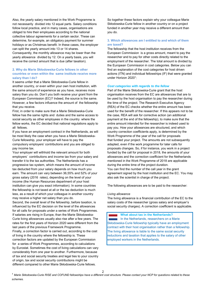Also, the yearly salary mentioned in the Work Programme is not necessarily divided into 12 equal parts. Salary conditions follow local practice, and in many cases, organisations are obliged to hire their employees according to the national collective labour agreements for a certain sector. These can determine, for example, an obligatory payment for summer holidays or as Christmas benefit. In these cases, the employer can split the yearly amount into 13 or 14 shares. Consequently, the monthly allowance may be lower than the yearly allowance divided by 12. On a yearly basis, you will receive the correct amount that is due (after taxation).

# 2. Why do Marie Skłodowska-Curie fellows in other countries or even within the same institute receive more salary than I do?

 It seems unfair that a Marie Skłodowska-Curie fellow in another country, or even within your own host institution, with the same amount of experience as you have, receives more salary than you do. Don't you both receive your grant from the European Commission (EC)? Indeed, the source is the same. However, a few factors influence the amount of the fellowship that you receive.

 First, in order to make sure that a Marie Skłodowska-Curie fellow has the same rights and duties and the same access to social security as other employees in the country where the fellow works, the EC decided that national regulations apply to all fellows.

 If you have an employment contract in the Netherlands, as will be most likely the case when you have a Marie Skłodowska- Curie fellowship, your employer will have to pay the compulsory employers' contributions and you are obliged to pay income tax.

 Your employer will withhold the relevant amount for both employers' contributions and income tax from your salary and transfer it to the tax authorities. The Netherlands has a progressive tax system, which means the amount of income tax deducted from your salary depends on how much you earn. The amount can vary between 36,55% and 52% of your gross salary (2016 rates), depending on the level of your income (the Human Resources department of your host institution can give you exact information). In some countries the fellowship is not taxed at all or the tax deduction is much less, as a result of which your colleague in another country may receive a higher net salary than you do.

 Second, the overall level of the fellowship, before taxation, is influenced by the EC decision on the level of the allowances for all calls for proposals under a series of Work Programmes. If salaries are rising in Europe, than the Marie Skłodowska- Curie living allowances usually also rise after a few years. The rates for the first years of Horizon 2020 were different from the last years of the previous Framework Programme. Finally, a correction factor is carried out, according to the cost of living in the country where the fellowship is. These correction factors are updated by the European Commission for a series of Work Programmes, according to calculations by Eurostat. Sometimes the cost of living calculations can vary considerably from one year to another. Furthermore, because of tax and social security treaties and legal ties to your country of origin, tax and social security contributions might be

different compared to other Marie Skłodowska-Curie fellows.

 So together these factors explain why your colleague Marie Skłodowska-Curie fellow in another country or on a project funded in another year may receive a different amount than you do.

# 3. Which allowances am I entitled to and which of them are taxed?

 The fellowship that the host institution receives from the European Commission is a gross amount, meant to pay the researcher and to pay for other costs directly related to the employment of the researcher. The total amount is divided by the European Commission in cost categories. Below you can find an explanation of the cost categories for host driven actions (ITN) and individual fellowships (IF) that were granted under Horizon 2020<sup>1</sup>:

### Cost categories with regards to the fellow

 Part of the Marie Skłodowska-Curie grant that the host organisation receives from the EC are allowances that are to be used by the host organisation to pay the researcher during the time of the project. The Research Executive Agency (REA) of the EC checks whether the entire amount has been used for the benefit of the researcher. If this appears not to be the case, REA will ask for corrective action (an additional payment at the end of the fellowship), to make sure that the entire amount intended for the researcher is indeed used to pay you. How your allowances are structured, and which country correction coefficients apply, is determined by the Work Programme of the year of the call for proposals that funded your project. The amounts are not subsequently adapted, even if the work programme for later calls for proposals changes. So, if for instance, you work in a project funded by the call for proposal in 2018, the amounts of your allowances and the correction coefficient for the Netherlands mentioned in the Work Programme of 2018 are applicable during the entire time of the project duration. You can find the number of the call year in the grant agreement signed by the host institution and the EC. You may also ask the scientist in charge of the project.

The following allowances are to be paid to the researcher:

#### Living allowance

 The living allowance is a financial contribution of the EC to the salary costs of the researcher (gross salary and employer's social security charges). A correction coefficient is applicable.

What about tax in the Netherlands?

 In the Netherlands, researchers on a Marie Skłodowska-Curie fellowship typically have an employment contract with their host organisation rather than a fellowship. The living allowance is liable to the same social security reductions and taxation that applies to the salary of other employed workers in the Netherlands.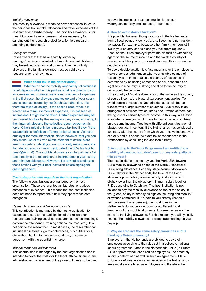#### Mobility allowance

 The mobility allowance is meant to cover expenses linked to the personal household, relocation and travel expenses of the researcher and his/her family. The mobility allowance is not meant to cover travel expenses that are necessary for carrying out the research project (e.g. for field research, attending conferences).

#### Family allowance

 Researchers that that have a family (either by marriage/marriage equivalent or have dependent children) may be entitled to a family allowance. Like the mobility allowance, the family allowance must be paid by the researcher for their own use.

#### What about tax in the Netherlands?

 Whether or not the mobility (and family) allowance is taxed depends whether it is paid as a flat rate directly to you as a researcher, or treated as a reimbursement of expenses. In the first case, the allowance makes up part of your salary and is seen as income by the Dutch tax authorities. It is therefore taxed as salary. In the second case, when it is treated as a reimbursement of expenses, it is not seen as income and it might not be taxed. Certain expenses may be reimbursed tax free by the employer in any case, according to their internal rules and the collective labour agreement in force. Others might only be reimbursed tax free if they fit the tax authorities' definition of 'extra territorial costs'. Ask your employer for more information. Notice however, that you can only make use of tax free reimbursement of actual 'extra territorial costs' costs, if you are not already making use of a flat rate tax reduction instrument, called the 30% tax facility. (see Q&A nr. 8). The mobility allowance can be paid as a flat rate directly to the researcher, or incorporated in your salary and reimbursable costs. However, it is advisable to discuss these options with your host institution before signing the grant agreement.

#### Cost categories with regards to the host organisation

 The following contributions are managed by the host organisation. These are granted as flat rates for various categories of expenses. This means that the host institution does not need to report about how they spent these cost categories.

#### Research, Training and Networking Costs

 This contribution is managed by the host organisation for expenses related to the participation of the researcher in research and training activities (research expenses, meetings, conference attendance, training actions, courses, etc.). It is not paid to the researcher. In most cases, the researcher can just use lab materials, go to conferences, buy publications, etc, without having to monitor expenditure, in common agreement with the scientist in charge.

#### Management and indirect costs

 This contribution is managed by the host organisation and is intended to cover the costs for the legal, ethical, financial and administrative management of the project. It can also be used  to cover indirect costs (e.g. communication costs, water/gas/electricity, maintenance, insurance).

#### 4. How to avoid double taxation?

 It is possible that even though you stay in the Netherlands, from a fiscal point of view, you are still seen as a non-resident tax payer. For example, because other family members still live in your country of origin and you visit them regularly. Because the Dutch employer performs his task as withholding agent on the source of income and the taxable country of residence will tax you on your world income, this may lead to double taxation.

 To avoid double taxation it is first important for the employer to make a correct judgment on what your taxable country of residency is. In most treaties the country of residence is determined by balancing someone's social, economic and legal ties to a country. A strong social tie to the country of origin could be decisive.

 If the country of fiscal residency is not the same as the country of source income, the bilateral tax agreement applies. To avoid double taxation the Netherlands has concluded tax treaties with a large number of countries. A tax treaty is an arrangement between two countries about which of them has the right to tax certain types of income. In this way, a situation is avoided where you would have to pay tax in two countries on the same income. Treaties with different countries are not always identical in content. If the Netherlands has concluded a tax treaty with the country from which you receive income, you can only find out about the exact tax consequences in the Netherlands by consulting the applicable treaty.

# 5. According to the Work Programme I am entitled to a mobility allowance, but I don't see it on my salary slip. Is this correct?

 The host institution has to pay you the Marie Skłodowska- Curie mobility allowance on top of the Marie Skłodowska- Curie living allowance. For early stage Marie Skłodowska- Curie fellows in the Netherlands, the level of the living allowance plus mobility allowance is typically equal to or slightly lower than the obligatory minimum salary level for PhDs according to Dutch law. The host institution is not obliged to pay the mobility allowance on top of the salary, if the (gross) salary is already as high as the living and mobility allowance combined. If it is paid to you directly (not as a reimbursement of expenses), the fiscal rules in the Netherlands do not provide room for a different fiscal treatment of the mobility allowance. It is seen as salary, the same as the living allowance. For this reason, you will typically not see the mobility allowance as a separate heading on your pay slip.

### 6. Why do I receive the same salary amount as a PhD hired by a Dutch university?

 Employers in the Netherlands are obliged to pay their employees according to the rules set in a collective national labour agreement. Since in the Netherlands PhDs (in Dutch: AiO's or promovendi) are hired as employees, their monthly salary is determined as well in such an agreement. Marie Skłodowska-Curie fellows at universities in the Netherlands are almost always hired as employees and therefore the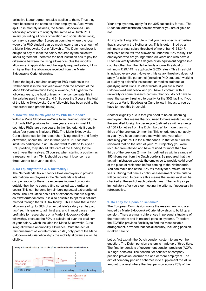collective labour agreement also applies to them. Thus they must be treated the same as other employees. Also, when split up in monthly salaries, the Marie Skłodowska-Curie fellowship amounts to roughly the same as a Dutch PhD salary (including all costs of taxation and social deductions), contrary to some other European countries where the local wage of a PhD student can be much lower than the amount of a Marie Skłodowska-Curie fellowship. The Dutch employer is obliged to pay at least the salary required by the collective labour agreement, therefore the host institution has to pay the difference between the living allowance (plus the mobility allowance, if applicable) and the legally required salary, if this is higher than the allowance received from the Marie Skłodowska-Curie fellowship.

 Since the legally required salary for PhD students in the Netherlands is in the first year lower than the amount of the Marie Skłodowska-Curie living allowance, but higher in the following years, the host university may compensate this in the salaries paid in year 2 and 3. So over the 3 years, the total of the Marie Skłodowska-Curie fellowship has been paid to the researcher (see graphic below).

#### 7. How will the fourth year of my PhD be funded?

 Within a Marie Skłodowska-Curie Initial Training Network, the EU funds PhD positions for three years, since in most EU countries PhDs are three years. In the Netherlands it usually takes four years to finalize a PhD. The Marie Skłodowska- Curie allowances for the researcher (living, mobility and family allowance) should be used in three years. If Dutch host institutes participate in an ITN and want to offer a four-year PhD position, they should take care of the funding for the fourth year themselves. Of course, when starting a position as a researcher in an ITN, it should be clear if it concerns a three-year or four-year position.

#### 8. Do I qualify for the 30% tax facility?

 The Netherlands' tax authority allows employers to provide international employees in the Netherlands a tax-free compensation for the extra expenses incurred by working outside their home country (the so-called extraterritorial costs). This can be done by reimbursing actual extraterritorial costs. The Tax Office has a list of expenses that are eligible as extraterritorial costs. It is also possible to opt for a flat-rate method through the '30% tax facility'. This means that a fixed allowance of up to 30% of an expatriate's salary can be paid tax-free. It is easier to administrate, and in most cases more profitable for researchers on a Marie Skłodowska-Curie fellowship, because the 30% is calculated over the total sum of your salary, which includes the Marie Skłodowska-Curie living allowance andmobility allowance.. With the actual reimbursement of 'extraterritorial costs', only part of the Marie Skłodowska-Curie fellowship - the mobility allowance – will be



Your employer may apply for the 30% tax facility for you. The Dutch tax administration decides whether you are eligible or not.

not.<br>An important eligibility rule is that you have specific expertise that is scarce in the Netherlands. This is determined by a minimum annual salary threshold of more than € 38.347, exclusive of the tax free allowance under the 30% facility. For employees who are younger than 30 years and who have a Dutch university Master's degree or an equivalent degree in a country other than the Netherlands a lower threshold of minimum € 29.149 is applicable (2020 rates). This threshold is indexed every year. However, this salary threshold does not apply for scientific personnel (including PhD students) working at qualifying scientific institutions, or medical trainees at qualifying institutions. In other words, if you are a Marie Skłodowska-Curie fellow and you have a contract with a university or some research centres, than you do not have to meet the salary threshold to qualify for the 30% facility. If you work as a Marie Skłodowska-Curie fellow in industry, you do have to meet this threshold.

 Another eligibility rule is that you need to be an 'incoming employee'. This means that you need to have resided outside the so-called foreign border region (defined as within a range of 150 kilometres from the Dutch border) for more than two thirds of the previous 24 months. This criteria does not apply obtaining your PhD in the Netherlands. In that case it will be reviewed that on the start of your PhD trajectory you were recruited from abroad and have resided for more than two thirds of the previous 24 months (defined as within a range of 150 kilometres from the Dutch border). Be prepared that the tax administration expects the employee to provide solid proof of the place of residence before coming to the Netherlands. You can make use of the 30% tax facility for a maximum of 5 years. During that time a continual assessment of the criteria will be required. In practice this means the salary level will be checked at the end of each calendar year. The facility stops immediately after you stop meeting the criteria, if necessary in retrospective. must be to sell the sell of the formula behavior why will be the sell of the sellingible properties and the sellingible properties and the sellingible properties and the sellingible properties and the 30% tax facility for to you if you have been recruited within one year after

#### 9. Do I pay for a pension scheme?

 The European Commission wants the researchers who are funded by Marie Skłodowska-Curie fellowships to build up a pension. There are many differences in personal situations of the researchers and in national pension systems. Therefore the EC/REA provides flexibility to find the most suitable arrangement, provided that social security, including pension, is taken care of.

 Let us first explain the Dutch pension system to answer the question. The Dutch pension system is made up of three tiers. The first tier consists of government pension provision (AOW, 'old age' pension). The second tier consists of company pension provision, accrued via one or more employers. The aim of company pension schemes is to supplement the AOW amount to a level where the final pension equals 70% of the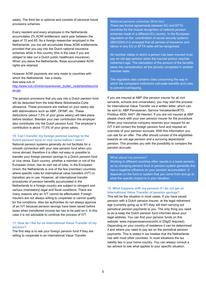salary. The third tier is optional and consists of personal future provisions schemes.

 Every resident and every employee in the Netherlands accumulates 2% AOW entitlement each year between the ages of 15 and 65. As a foreign researcher employed in the Netherlands, you too will accumulate these AOW entitlements provided that you pay into the Dutch national insurance schemes while in this country (this is the case if you are obliged to take out a Dutch public healthcare insurance). When you leave the Netherlands, these accumulated AOW rights are retained.

 However AOW payments are only made to countries with which the Netherlands has a treaty. See:www.svb.nl

http://www.svb.nl/int/en/aow/wonen\_buiten\_nederland/beu/ind ex.jsp

 The pension provisions that you pay into a Dutch pension fund will be deducted from the total Marie Skłodowska-Curie allowance. These provisions are marked on your salary slip with abbreviations such as ABP, OP/NP, etc. These deductions (about 7,5% of your gross salary) will take place before taxation. Besides your own contribution the employer also contributes into the Dutch pension fund. The employer's contribution is about 17,5% of your gross salary.

# 10. Can I transfer my foreign pension savings to the Dutch pension fund or vice versa before I retire?

 National pension systems generally do not facilitate for a smooth connection with your new pension fund when you move abroad, therefore it is often not easy or possible to transfer your foreign pension savings to a Dutch pension fund or vice versa. Each country, whether a member or not of the European Union, has its own set of rules. In the European Union, the Netherlands is one of the few (member) countries where specific rules for international value transfers (IVT) or transition are in use. However, all international transfer procedures of pension benefits accumulated in the Netherlands to a foreign country are subject to stringent and various (mandatory) legal and fiscal conditions. There are many reasons why an IVT cannot be effectuated. Foreign insurers are not always willing to cooperate or cannot qualify for the conditions. Also tax authorities do not always approve of an IVT because pension savings have been saved before taxes when transferred income tax has to be paid on it. In this case it is not advisable to continue the process of IVT.

### 11. How do I file for an International Value Transfer of my pension?

 The first step is to ask your foreign pension fund if they are willing to cooperate in an International Value Transfer.

#### National pension schemes (first tier)

 There are formal agreements between EU and EFTA countries for the mutual recognition of national pension schemes made in a different EU country. In the European regulation on the coordination of social security systems (883/2004) it is arranged that all periods of insurance and labour in any EU or EFTA state will be recognized.

 All member states in which a person has been insured must pay an old age pension when the insured person reaches retirement age. The calculation of the amount of the benefits takes into consideration all the periods completed in another member state.

 The regulation also contains rules concerning the way in which the competent institutions calculate benefits and rules to prevent overlapping.

 If you are insured at ABP (the pension insurer for all civil servants, schools and universities), you may start the process for International Value Transfer via a written letter, which can be sent to: ABP Pensioenen, Service Verzekerden/KTD, Postbus 4830, 6401 JM Heerlen. If you are not insured at ABP please check with your own pension insurer for the procedure. When your insurance company receives your request for an IVT it will contact the foreign pension fund and request an overview of your pension accruals. With this information you can ask for an offer. The offer should consist of the eligibilities towards an old age pension and a surviving dependants' pension. This provides you with the possibility to compare the pension accruals.

# What about my pension?

 Working in different countries often results in a lower pension, as by changing pension fund or pension system generally this has a negative influence on your pension accumulation. It depends on the fund or system that you come from and go to what the specific impact is in your situation.

### 12. What happens with my pension if I do not get an International Value Transfer of pension savings?

 This will be the situation in most cases. If you have saved pension with a Dutch pension insurer, at the legal retirement age (currently going up to 67) they will start carrying out periodical pension payments to you. The only thing you need to do is keep the Dutch pension fund informed about your legal address. You can find your pension funds on this website: www.mijnpensioenoverzicht.nl (DigiD required). Depending on your country of residence it can be determined if and where you need to pay tax on the periodical pension payments. This is stated in tax treaties that the Netherlands has with most other countries. In most situations the tax liability lies in your home country. You can always consult a tax advisor to see what applies to your specific situation.